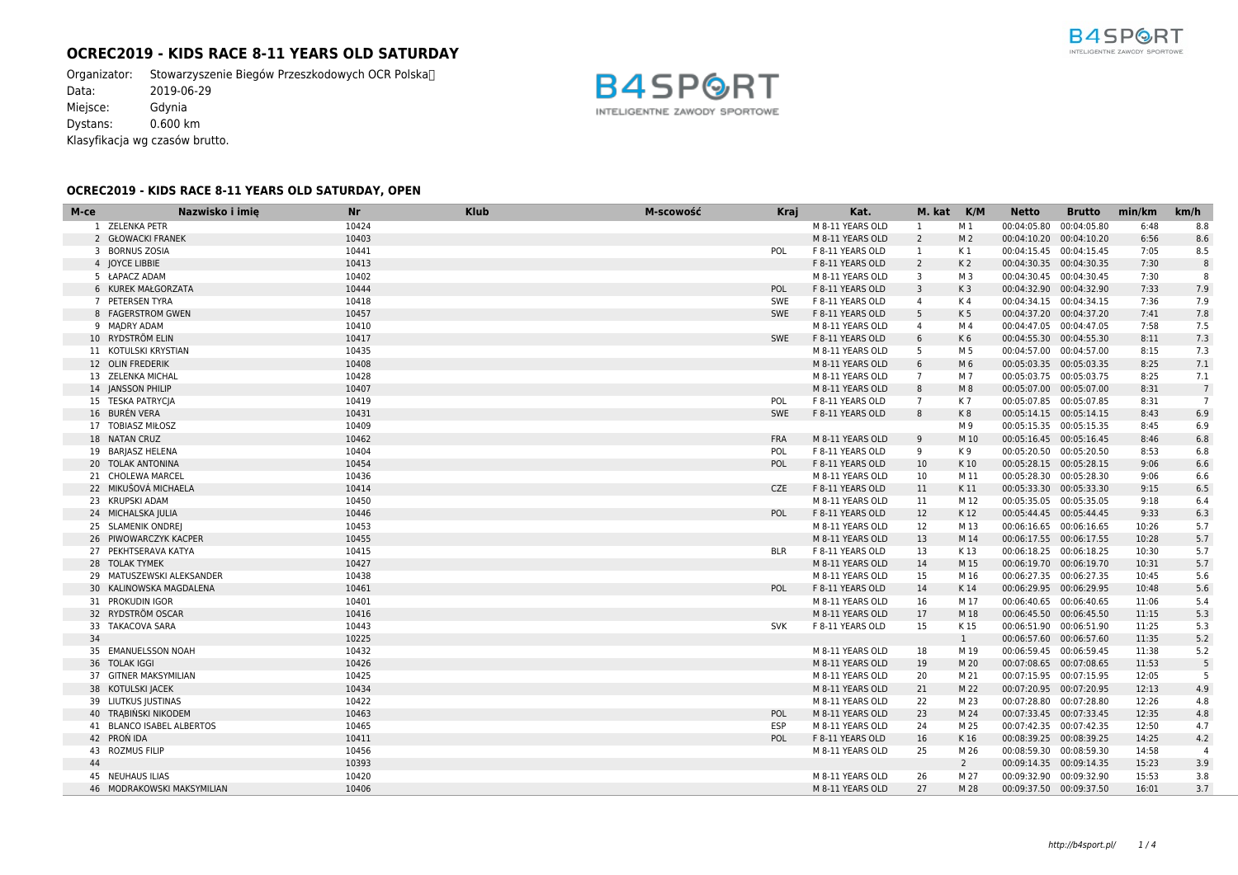# **OCREC2019 - KIDS RACE 8-11 YEARS OLD SATURDAY**

Organizator: Stowarzyszenie Biegów Przeszkodowych OCR Polska<sup>n</sup><br>Data: 2019-06-29  $2019-06-29$ Miejsce: Gdynia Dystans: 0.600 km Klasyfikacja wg czasów brutto.



## **OCREC2019 - KIDS RACE 8-11 YEARS OLD SATURDAY, OPEN**

| M-ce | Nazwisko i imie            | <b>Nr</b> | <b>Klub</b> | M-scowość | <b>Kraj</b> | Kat.             | M. kat K/M      |                | <b>Netto</b>             | <b>Brutto</b> | min/km | km/h             |
|------|----------------------------|-----------|-------------|-----------|-------------|------------------|-----------------|----------------|--------------------------|---------------|--------|------------------|
|      | 1 ZELENKA PETR             | 10424     |             |           |             | M 8-11 YEARS OLD | 1               | M 1            | 00:04:05.80 00:04:05.80  |               | 6:48   | 8.8              |
|      | 2 GŁOWACKI FRANEK          | 10403     |             |           |             | M 8-11 YEARS OLD | $\overline{2}$  | M <sub>2</sub> | 00:04:10.20 00:04:10.20  |               | 6:56   | 8.6              |
|      | 3 BORNUS ZOSIA             | 10441     |             |           | POL         | F 8-11 YEARS OLD | -1              | K 1            | 00:04:15.45 00:04:15.45  |               | 7:05   | 8.5              |
|      | 4 JOYCE LIBBIE             | 10413     |             |           |             | F 8-11 YEARS OLD | $\overline{2}$  | K <sub>2</sub> | 00:04:30.35 00:04:30.35  |               | 7:30   | $\boldsymbol{8}$ |
|      | 5 ŁAPACZ ADAM              | 10402     |             |           |             | M 8-11 YEARS OLD | 3               | M 3            | 00:04:30.45 00:04:30.45  |               | 7:30   | 8                |
|      | 6 KUREK MAŁGORZATA         | 10444     |             |           | POL         | F 8-11 YEARS OLD | $\overline{3}$  | K <sub>3</sub> | 00:04:32.90 00:04:32.90  |               | 7:33   | 7.9              |
|      | 7 PETERSEN TYRA            | 10418     |             |           | SWE         | F 8-11 YEARS OLD | $\overline{4}$  | K 4            | 00:04:34.15  00:04:34.15 |               | 7:36   | 7.9              |
|      | 8 FAGERSTROM GWEN          | 10457     |             |           | SWE         | F 8-11 YEARS OLD | 5               | K <sub>5</sub> | 00:04:37.20 00:04:37.20  |               | 7:41   | 7.8              |
|      | 9 MADRY ADAM               | 10410     |             |           |             | M 8-11 YEARS OLD | $\overline{4}$  | M 4            | 00:04:47.05 00:04:47.05  |               | 7:58   | 7.5              |
|      | 10 RYDSTRÖM ELIN           | 10417     |             |           | SWE         | F 8-11 YEARS OLD | 6               | K6             | 00:04:55.30 00:04:55.30  |               | 8:11   | 7.3              |
|      | 11 KOTULSKI KRYSTIAN       | 10435     |             |           |             | M 8-11 YEARS OLD | - 5             | M 5            | 00:04:57.00 00:04:57.00  |               | 8:15   | 7.3              |
|      | 12 OLIN FREDERIK           | 10408     |             |           |             | M 8-11 YEARS OLD | 6               | M 6            | 00:05:03.35 00:05:03.35  |               | 8:25   | 7.1              |
|      | 13 ZELENKA MICHAL          | 10428     |             |           |             | M 8-11 YEARS OLD | $7\overline{ }$ | M 7            | 00:05:03.75 00:05:03.75  |               | 8:25   | 7.1              |
|      | 14 JANSSON PHILIP          | 10407     |             |           |             | M 8-11 YEARS OLD | 8               | M8             | 00:05:07.00 00:05:07.00  |               | 8:31   | $\overline{7}$   |
|      | 15 TESKA PATRYCJA          | 10419     |             |           | POL         | F 8-11 YEARS OLD | $\overline{7}$  | K 7            | 00:05:07.85 00:05:07.85  |               | 8:31   | $\overline{7}$   |
|      | 16 BURÉN VERA              | 10431     |             |           | SWE         | F 8-11 YEARS OLD | 8               | K8             | 00:05:14.15  00:05:14.15 |               | 8:43   | 6.9              |
|      | 17 TOBIASZ MIŁOSZ          | 10409     |             |           |             |                  |                 | M 9            | 00:05:15.35 00:05:15.35  |               | 8:45   | 6.9              |
|      | 18 NATAN CRUZ              | 10462     |             |           | <b>FRA</b>  | M 8-11 YEARS OLD | 9               | M 10           | 00:05:16.45 00:05:16.45  |               | 8:46   | 6.8              |
|      | 19 BARJASZ HELENA          | 10404     |             |           | POL         | F 8-11 YEARS OLD | 9               | K 9            | 00:05:20.50 00:05:20.50  |               | 8:53   | 6.8              |
|      | 20 TOLAK ANTONINA          | 10454     |             |           | POL         | F 8-11 YEARS OLD | 10              | K 10           | 00:05:28.15 00:05:28.15  |               | 9:06   | 6.6              |
|      | 21 CHOLEWA MARCEL          | 10436     |             |           |             | M 8-11 YEARS OLD | 10              | M 11           | 00:05:28.30 00:05:28.30  |               | 9:06   | 6.6              |
|      | 22 MIKUŠOVÁ MICHAELA       | 10414     |             |           | <b>CZE</b>  | F 8-11 YEARS OLD | 11              | K 11           | 00:05:33.30 00:05:33.30  |               | 9:15   | 6.5              |
|      | 23 KRUPSKI ADAM            | 10450     |             |           |             | M 8-11 YEARS OLD | 11              | M 12           | 00:05:35.05 00:05:35.05  |               | 9:18   | 6.4              |
|      | 24 MICHALSKA JULIA         | 10446     |             |           | POL         | F 8-11 YEARS OLD | 12              | K 12           | 00:05:44.45 00:05:44.45  |               | 9:33   | 6.3              |
|      | 25 SLAMENIK ONDREJ         | 10453     |             |           |             | M 8-11 YEARS OLD | 12              | M 13           | 00:06:16.65 00:06:16.65  |               | 10:26  | 5.7              |
|      | 26 PIWOWARCZYK KACPER      | 10455     |             |           |             | M 8-11 YEARS OLD | 13              | M 14           | 00:06:17.55 00:06:17.55  |               | 10:28  | 5.7              |
|      | 27 PEKHTSERAVA KATYA       | 10415     |             |           | <b>BLR</b>  | F 8-11 YEARS OLD | 13              | K 13           | 00:06:18.25 00:06:18.25  |               | 10:30  | 5.7              |
|      | 28 TOLAK TYMEK             | 10427     |             |           |             | M 8-11 YEARS OLD | 14              | M 15           | 00:06:19.70 00:06:19.70  |               | 10:31  | 5.7              |
|      | 29 MATUSZEWSKI ALEKSANDER  | 10438     |             |           |             | M 8-11 YEARS OLD | 15              | M 16           | 00:06:27.35 00:06:27.35  |               | 10:45  | 5.6              |
|      | 30 KALINOWSKA MAGDALENA    | 10461     |             |           | POL         | F 8-11 YEARS OLD | 14              | K 14           | 00:06:29.95 00:06:29.95  |               | 10:48  | 5.6              |
|      | 31 PROKUDIN IGOR           | 10401     |             |           |             | M 8-11 YEARS OLD | 16              | M 17           | 00:06:40.65 00:06:40.65  |               | 11:06  | 5.4              |
|      | 32 RYDSTRÖM OSCAR          | 10416     |             |           |             | M 8-11 YEARS OLD | 17              | M 18           | 00:06:45.50 00:06:45.50  |               | 11:15  | 5.3              |
|      | 33 TAKACOVA SARA           | 10443     |             |           | <b>SVK</b>  | F 8-11 YEARS OLD | 15              | K 15           | 00:06:51.90 00:06:51.90  |               | 11:25  | 5.3              |
| 34   |                            | 10225     |             |           |             |                  |                 | $\mathbf{1}$   | 00:06:57.60 00:06:57.60  |               | 11:35  | 5.2              |
|      | 35 EMANUELSSON NOAH        | 10432     |             |           |             | M 8-11 YEARS OLD | 18              | M 19           | 00:06:59.45 00:06:59.45  |               | 11:38  | 5.2              |
|      | 36 TOLAK IGGI              | 10426     |             |           |             | M 8-11 YEARS OLD | 19              | M 20           | 00:07:08.65 00:07:08.65  |               | 11:53  | 5                |
|      | 37 GITNER MAKSYMILIAN      | 10425     |             |           |             | M 8-11 YEARS OLD | 20              | M 21           | 00:07:15.95 00:07:15.95  |               | 12:05  | 5                |
|      | 38 KOTULSKI JACEK          | 10434     |             |           |             | M 8-11 YEARS OLD | 21              | M 22           | 00:07:20.95 00:07:20.95  |               | 12:13  | 4.9              |
|      | 39 LIUTKUS JUSTINAS        | 10422     |             |           |             | M 8-11 YEARS OLD | 22              | M 23           | 00:07:28.80 00:07:28.80  |               | 12:26  | 4.8              |
|      | 40 TRABIŃSKI NIKODEM       | 10463     |             |           | POL         | M 8-11 YEARS OLD | 23              | M 24           | 00:07:33.45 00:07:33.45  |               | 12:35  | 4.8              |
|      | 41 BLANCO ISABEL ALBERTOS  | 10465     |             |           | <b>ESP</b>  | M 8-11 YEARS OLD | 24              | M 25           | 00:07:42.35 00:07:42.35  |               | 12:50  | 4.7              |
|      | 42 PRON IDA                | 10411     |             |           | POL         | F 8-11 YEARS OLD | 16              | K 16           | 00:08:39.25 00:08:39.25  |               | 14:25  | 4.2              |
|      | 43 ROZMUS FILIP            | 10456     |             |           |             | M 8-11 YEARS OLD | 25              | M 26           | 00:08:59.30 00:08:59.30  |               | 14:58  | $\overline{4}$   |
| 44   |                            | 10393     |             |           |             |                  |                 | $\overline{2}$ | 00:09:14.35 00:09:14.35  |               | 15:23  | 3.9              |
|      | 45 NEUHAUS ILIAS           | 10420     |             |           |             | M 8-11 YEARS OLD | 26              | M 27           | 00:09:32.90 00:09:32.90  |               | 15:53  | 3.8              |
|      | 46 MODRAKOWSKI MAKSYMILIAN | 10406     |             |           |             | M 8-11 YEARS OLD | 27              | M 28           | 00:09:37.50 00:09:37.50  |               | 16:01  | 3.7              |

B4SP INTELIGENTNE ZAWODY SPORTOWE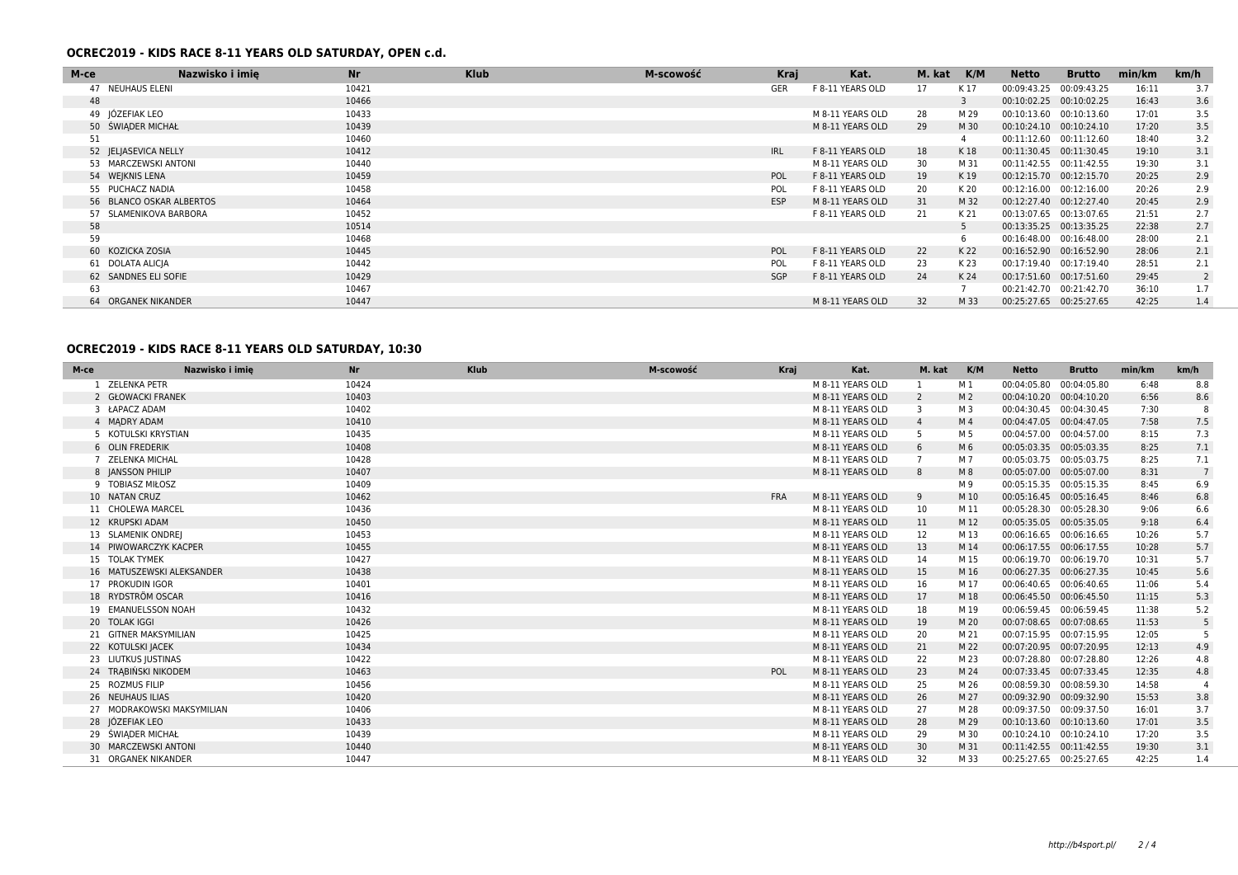### **OCREC2019 - KIDS RACE 8-11 YEARS OLD SATURDAY, OPEN c.d.**

| M-ce | Nazwisko i imie          | <b>Nr</b> | <b>Klub</b> | M-scowość | Kraj       | Kat.             | M. kat | K/M  | Netto                   | <b>Brutto</b> | min/km | km/h |
|------|--------------------------|-----------|-------------|-----------|------------|------------------|--------|------|-------------------------|---------------|--------|------|
|      | 47 NEUHAUS ELENI         | 10421     |             |           | GER        | F 8-11 YEARS OLD | 17     | K 17 | 00:09:43.25             | 00:09:43.25   | 16:11  | 3.7  |
| 48   |                          | 10466     |             |           |            |                  |        | 3    | 00:10:02.25             | 00:10:02.25   | 16:43  | 3.6  |
|      | 49 JÓZEFIAK LEO          | 10433     |             |           |            | M 8-11 YEARS OLD | 28     | M 29 | 00:10:13.60             | 00:10:13.60   | 17:01  | 3.5  |
|      | 50 ŚWIADER MICHAŁ        | 10439     |             |           |            | M 8-11 YEARS OLD | 29     | M 30 | 00:10:24.10             | 00:10:24.10   | 17:20  | 3.5  |
| 51   |                          | 10460     |             |           |            |                  |        | 4    | 00:11:12.60             | 00:11:12.60   | 18:40  | 3.2  |
|      | 52 JELJASEVICA NELLY     | 10412     |             |           | <b>IRL</b> | F 8-11 YEARS OLD | 18     | K 18 | 00:11:30.45             | 00:11:30.45   | 19:10  | 3.1  |
|      | 53 MARCZEWSKI ANTONI     | 10440     |             |           |            | M 8-11 YEARS OLD | 30     | M 31 | 00:11:42.55             | 00:11:42.55   | 19:30  | 3.1  |
|      | 54 WEJKNIS LENA          | 10459     |             |           | POL        | F 8-11 YEARS OLD | 19     | K 19 | 00:12:15.70 00:12:15.70 |               | 20:25  | 2.9  |
|      | 55 PUCHACZ NADIA         | 10458     |             |           | POL        | F 8-11 YEARS OLD | 20     | K 20 | 00:12:16.00             | 00:12:16.00   | 20:26  | 2.9  |
|      | 56 BLANCO OSKAR ALBERTOS | 10464     |             |           | <b>ESP</b> | M 8-11 YEARS OLD | 31     | M 32 | 00:12:27.40 00:12:27.40 |               | 20:45  | 2.9  |
|      | 57 SLAMENIKOVA BARBORA   | 10452     |             |           |            | F 8-11 YEARS OLD | 21     | K 21 | 00:13:07.65             | 00:13:07.65   | 21:51  | 2.7  |
| 58   |                          | 10514     |             |           |            |                  |        | 5    | 00:13:35.25 00:13:35.25 |               | 22:38  | 2.7  |
| 59   |                          | 10468     |             |           |            |                  |        | 6    | 00:16:48.00             | 00:16:48.00   | 28:00  | 2.1  |
|      | 60 KOZICKA ZOSIA         | 10445     |             |           | POL        | F 8-11 YEARS OLD | 22     | K 22 | 00:16:52.90             | 00:16:52.90   | 28:06  | 2.1  |
|      | 61 DOLATA ALICIA         | 10442     |             |           | POL        | F 8-11 YEARS OLD | 23     | K 23 | 00:17:19.40             | 00:17:19.40   | 28:51  | 2.1  |
|      | 62 SANDNES ELI SOFIE     | 10429     |             |           | SGP        | F 8-11 YEARS OLD | 24     | K 24 | 00:17:51.60             | 00:17:51.60   | 29:45  | 2    |
| 63   |                          | 10467     |             |           |            |                  |        |      | 00:21:42.70             | 00:21:42.70   | 36:10  | 1.7  |
|      | 64 ORGANEK NIKANDER      | 10447     |             |           |            | M 8-11 YEARS OLD | 32     | M 33 | 00:25:27.65             | 00:25:27.65   | 42:25  | 1.4  |

## **OCREC2019 - KIDS RACE 8-11 YEARS OLD SATURDAY, 10:30**

| M-ce                       | Nazwisko i imie | <b>Nr</b> | <b>Klub</b> | M-scowość | Kraj       | Kat.             | M. kat         | K/M            | <b>Netto</b>            | <b>Brutto</b> | min/km | km/h            |
|----------------------------|-----------------|-----------|-------------|-----------|------------|------------------|----------------|----------------|-------------------------|---------------|--------|-----------------|
| 1 ZELENKA PETR             |                 | 10424     |             |           |            | M 8-11 YEARS OLD |                | M 1            | 00:04:05.80 00:04:05.80 |               | 6:48   | 8.8             |
| 2 GŁOWACKI FRANEK          |                 | 10403     |             |           |            | M 8-11 YEARS OLD | $\overline{2}$ | M <sub>2</sub> | 00:04:10.20 00:04:10.20 |               | 6:56   | 8.6             |
| 3 ŁAPACZ ADAM              |                 | 10402     |             |           |            | M 8-11 YEARS OLD | 3              | M 3            | 00:04:30.45 00:04:30.45 |               | 7:30   | 8               |
| 4 MADRY ADAM               |                 | 10410     |             |           |            | M 8-11 YEARS OLD | $\overline{4}$ | M 4            | 00:04:47.05 00:04:47.05 |               | 7:58   | 7.5             |
| 5 KOTULSKI KRYSTIAN        |                 | 10435     |             |           |            | M 8-11 YEARS OLD | 5              | M 5            | 00:04:57.00 00:04:57.00 |               | 8:15   | 7.3             |
| 6 OLIN FREDERIK            |                 | 10408     |             |           |            | M 8-11 YEARS OLD | 6              | M 6            | 00:05:03.35 00:05:03.35 |               | 8:25   | 7.1             |
| 7 ZELENKA MICHAL           |                 | 10428     |             |           |            | M 8-11 YEARS OLD |                | M 7            | 00:05:03.75 00:05:03.75 |               | 8:25   | 7.1             |
| 8 JANSSON PHILIP           |                 | 10407     |             |           |            | M 8-11 YEARS OLD | 8              | M8             | 00:05:07.00 00:05:07.00 |               | 8:31   | $7\overline{ }$ |
| 9 TOBIASZ MIŁOSZ           |                 | 10409     |             |           |            |                  |                | M 9            | 00:05:15.35 00:05:15.35 |               | 8:45   | 6.9             |
| 10 NATAN CRUZ              |                 | 10462     |             |           | <b>FRA</b> | M 8-11 YEARS OLD | 9              | M 10           | 00:05:16.45 00:05:16.45 |               | 8:46   | 6.8             |
| 11 CHOLEWA MARCEL          |                 | 10436     |             |           |            | M 8-11 YEARS OLD | 10             | M 11           | 00:05:28.30 00:05:28.30 |               | 9:06   | 6.6             |
| 12 KRUPSKI ADAM            |                 | 10450     |             |           |            | M 8-11 YEARS OLD | 11             | M 12           | 00:05:35.05 00:05:35.05 |               | 9:18   | 6.4             |
| 13 SLAMENIK ONDREJ         |                 | 10453     |             |           |            | M 8-11 YEARS OLD | 12             | M 13           | 00:06:16.65 00:06:16.65 |               | 10:26  | 5.7             |
| 14 PIWOWARCZYK KACPER      |                 | 10455     |             |           |            | M 8-11 YEARS OLD | 13             | M 14           | 00:06:17.55 00:06:17.55 |               | 10:28  | 5.7             |
| 15 TOLAK TYMEK             |                 | 10427     |             |           |            | M 8-11 YEARS OLD | 14             | M 15           | 00:06:19.70 00:06:19.70 |               | 10:31  | 5.7             |
| 16 MATUSZEWSKI ALEKSANDER  |                 | 10438     |             |           |            | M 8-11 YEARS OLD | 15             | M 16           | 00:06:27.35 00:06:27.35 |               | 10:45  | 5.6             |
| 17 PROKUDIN IGOR           |                 | 10401     |             |           |            | M 8-11 YEARS OLD | 16             | M 17           | 00:06:40.65 00:06:40.65 |               | 11:06  | 5.4             |
| 18 RYDSTRÖM OSCAR          |                 | 10416     |             |           |            | M 8-11 YEARS OLD | 17             | M 18           | 00:06:45.50 00:06:45.50 |               | 11:15  | 5.3             |
| 19 EMANUELSSON NOAH        |                 | 10432     |             |           |            | M 8-11 YEARS OLD | 18             | M 19           | 00:06:59.45 00:06:59.45 |               | 11:38  | 5.2             |
| 20 TOLAK IGGI              |                 | 10426     |             |           |            | M 8-11 YEARS OLD | 19             | M 20           | 00:07:08.65 00:07:08.65 |               | 11:53  | 5               |
| 21 GITNER MAKSYMILIAN      |                 | 10425     |             |           |            | M 8-11 YEARS OLD | 20             | M 21           | 00:07:15.95 00:07:15.95 |               | 12:05  | -5              |
| 22 KOTULSKI JACEK          |                 | 10434     |             |           |            | M 8-11 YEARS OLD | 21             | M 22           | 00:07:20.95 00:07:20.95 |               | 12:13  | 4.9             |
| 23 LIUTKUS JUSTINAS        |                 | 10422     |             |           |            | M 8-11 YEARS OLD | 22             | M 23           | 00:07:28.80 00:07:28.80 |               | 12:26  | 4.8             |
| 24 TRABIŃSKI NIKODEM       |                 | 10463     |             |           | POL        | M 8-11 YEARS OLD | 23             | M 24           | 00:07:33.45 00:07:33.45 |               | 12:35  | 4.8             |
| 25 ROZMUS FILIP            |                 | 10456     |             |           |            | M 8-11 YEARS OLD | 25             | M 26           | 00:08:59.30 00:08:59.30 |               | 14:58  |                 |
| 26 NEUHAUS ILIAS           |                 | 10420     |             |           |            | M 8-11 YEARS OLD | 26             | M 27           | 00:09:32.90 00:09:32.90 |               | 15:53  | 3.8             |
| 27 MODRAKOWSKI MAKSYMILIAN |                 | 10406     |             |           |            | M 8-11 YEARS OLD | 27             | M 28           | 00:09:37.50 00:09:37.50 |               | 16:01  | 3.7             |
| 28 JÓZEFIAK LEO            |                 | 10433     |             |           |            | M 8-11 YEARS OLD | 28             | M 29           | 00:10:13.60 00:10:13.60 |               | 17:01  | 3.5             |
| 29 ŚWIĄDER MICHAŁ          |                 | 10439     |             |           |            | M 8-11 YEARS OLD | 29             | M 30           | 00:10:24.10 00:10:24.10 |               | 17:20  | 3.5             |
| 30 MARCZEWSKI ANTONI       |                 | 10440     |             |           |            | M 8-11 YEARS OLD | 30             | M 31           | 00:11:42.55 00:11:42.55 |               | 19:30  | 3.1             |
| 31 ORGANEK NIKANDER        |                 | 10447     |             |           |            | M 8-11 YEARS OLD | 32             | M 33           | 00:25:27.65 00:25:27.65 |               | 42:25  | 1.4             |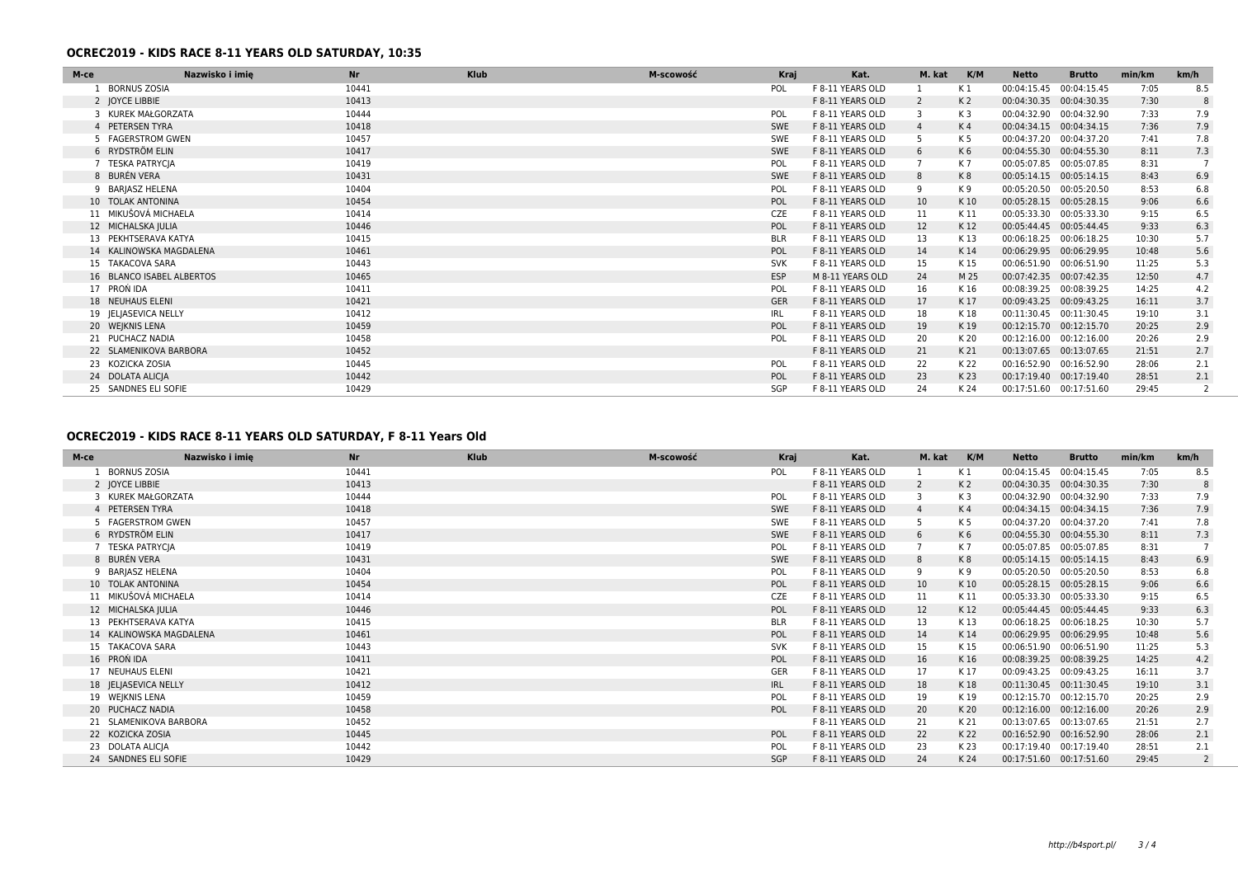## **OCREC2019 - KIDS RACE 8-11 YEARS OLD SATURDAY, 10:35**

| M-ce                   | Nazwisko i imię           | Nr    | <b>Klub</b> | M-scowość | Kraj       | Kat.             | M. kat | K/M            | Netto                    | <b>Brutto</b> | min/km | km/h |
|------------------------|---------------------------|-------|-------------|-----------|------------|------------------|--------|----------------|--------------------------|---------------|--------|------|
| 1 BORNUS ZOSIA         |                           | 10441 |             |           | <b>POL</b> | F 8-11 YEARS OLD |        | K 1            | 00:04:15.45              | 00:04:15.45   | 7:05   | 8.5  |
| 2 JOYCE LIBBIE         |                           | 10413 |             |           |            | F 8-11 YEARS OLD | 2      | K <sub>2</sub> | 00:04:30.35 00:04:30.35  |               | 7:30   | 8    |
| 3 KUREK MAŁGORZATA     |                           | 10444 |             |           | POL        | F 8-11 YEARS OLD | 3      | K3             | 00:04:32.90              | 00:04:32.90   | 7:33   | 7.9  |
| 4 PETERSEN TYRA        |                           | 10418 |             |           | SWE        | F 8-11 YEARS OLD |        | K 4            | 00:04:34.15 00:04:34.15  |               | 7:36   | 7.9  |
| 5 FAGERSTROM GWEN      |                           | 10457 |             |           | SWE        | F 8-11 YEARS OLD | 5      | K 5            | 00:04:37.20              | 00:04:37.20   | 7:41   | 7.8  |
| 6 RYDSTRÖM ELIN        |                           | 10417 |             |           | SWE        | F 8-11 YEARS OLD | 6      | K6             | 00:04:55.30              | 00:04:55.30   | 8:11   | 7.3  |
| 7 TESKA PATRYCJA       |                           | 10419 |             |           | POL        | F 8-11 YEARS OLD |        | K 7            | 00:05:07.85              | 00:05:07.85   | 8:31   |      |
| 8 BURÉN VERA           |                           | 10431 |             |           | SWE        | F 8-11 YEARS OLD | 8      | K8             | 00:05:14.15  00:05:14.15 |               | 8:43   | 6.9  |
| 9 BARJASZ HELENA       |                           | 10404 |             |           | POL        | F 8-11 YEARS OLD | 9      | K 9            | 00:05:20.50 00:05:20.50  |               | 8:53   | 6.8  |
| 10 TOLAK ANTONINA      |                           | 10454 |             |           | POL        | F 8-11 YEARS OLD | 10     | K 10           | 00:05:28.15              | 00:05:28.15   | 9:06   | 6.6  |
| 11 MIKUŠOVÁ MICHAELA   |                           | 10414 |             |           | <b>CZE</b> | F 8-11 YEARS OLD | 11     | K 11           | 00:05:33.30              | 00:05:33.30   | 9:15   | 6.5  |
| 12 MICHALSKA JULIA     |                           | 10446 |             |           | POL        | F 8-11 YEARS OLD | 12     | K 12           | 00:05:44.45              | 00:05:44.45   | 9:33   | 6.3  |
| 13 PEKHTSERAVA KATYA   |                           | 10415 |             |           | <b>BLR</b> | F 8-11 YEARS OLD | 13     | K 13           | 00:06:18.25              | 00:06:18.25   | 10:30  | 5.7  |
|                        | 14 KALINOWSKA MAGDALENA   | 10461 |             |           | POL        | F 8-11 YEARS OLD | 14     | K 14           | 00:06:29.95              | 00:06:29.95   | 10:48  | 5.6  |
| 15 TAKACOVA SARA       |                           | 10443 |             |           | <b>SVK</b> | F 8-11 YEARS OLD | 15     | K 15           | 00:06:51.90              | 00:06:51.90   | 11:25  | 5.3  |
|                        | 16 BLANCO ISABEL ALBERTOS | 10465 |             |           | <b>ESP</b> | M 8-11 YEARS OLD | 24     | M 25           | 00:07:42.35              | 00:07:42.35   | 12:50  | 4.7  |
| 17 PROŃ IDA            |                           | 10411 |             |           | POL        | F 8-11 YEARS OLD | 16     | K 16           | 00:08:39.25              | 00:08:39.25   | 14:25  | 4.2  |
| 18 NEUHAUS ELENI       |                           | 10421 |             |           | <b>GER</b> | F 8-11 YEARS OLD | 17     | K 17           | 00:09:43.25              | 00:09:43.25   | 16:11  | 3.7  |
| 19 JELJASEVICA NELLY   |                           | 10412 |             |           | IRL        | F 8-11 YEARS OLD | 18     | K 18           | 00:11:30.45 00:11:30.45  |               | 19:10  | 3.1  |
| 20 WEJKNIS LENA        |                           | 10459 |             |           | POL        | F 8-11 YEARS OLD | 19     | K 19           | 00:12:15.70 00:12:15.70  |               | 20:25  | 2.9  |
| 21 PUCHACZ NADIA       |                           | 10458 |             |           | POL        | F 8-11 YEARS OLD | 20     | K 20           | 00:12:16.00              | 00:12:16.00   | 20:26  | 2.9  |
| 22 SLAMENIKOVA BARBORA |                           | 10452 |             |           |            | F 8-11 YEARS OLD | 21     | K 21           | 00:13:07.65              | 00:13:07.65   | 21:51  | 2.7  |
| 23 KOZICKA ZOSIA       |                           | 10445 |             |           | POL        | F 8-11 YEARS OLD | 22     | K 22           | 00:16:52.90              | 00:16:52.90   | 28:06  | 2.1  |
| 24 DOLATA ALICJA       |                           | 10442 |             |           | POL        | F 8-11 YEARS OLD | 23     | K 23           | 00:17:19.40              | 00:17:19.40   | 28:51  | 2.1  |
| 25 SANDNES ELI SOFIE   |                           | 10429 |             |           | SGP        | F 8-11 YEARS OLD | 24     | K 24           | 00:17:51.60 00:17:51.60  |               | 29:45  |      |

### **OCREC2019 - KIDS RACE 8-11 YEARS OLD SATURDAY, F 8-11 Years Old**

| M-ce                 | Nazwisko i imie         | <b>Nr</b> | <b>Klub</b> | M-scowość | Kraj       | Kat.             | M. kat K/M      |                | Netto                   | <b>Brutto</b> | min/km | km/h           |
|----------------------|-------------------------|-----------|-------------|-----------|------------|------------------|-----------------|----------------|-------------------------|---------------|--------|----------------|
| 1 BORNUS ZOSIA       |                         | 10441     |             |           | POL        | F 8-11 YEARS OLD |                 | K 1            | 00:04:15.45             | 00:04:15.45   | 7:05   | 8.5            |
| 2 JOYCE LIBBIE       |                         | 10413     |             |           |            | F 8-11 YEARS OLD | 2               | K <sub>2</sub> | 00:04:30.35 00:04:30.35 |               | 7:30   | 8              |
| 3 KUREK MAŁGORZATA   |                         | 10444     |             |           | POL        | F 8-11 YEARS OLD | 3               | K3             | 00:04:32.90 00:04:32.90 |               | 7:33   | 7.9            |
| 4 PETERSEN TYRA      |                         | 10418     |             |           | <b>SWE</b> | F 8-11 YEARS OLD | $\overline{4}$  | K 4            | 00:04:34.15 00:04:34.15 |               | 7:36   | 7.9            |
| 5 FAGERSTROM GWEN    |                         | 10457     |             |           | SWE        | F 8-11 YEARS OLD |                 | K 5            | 00:04:37.20 00:04:37.20 |               | 7:41   | 7.8            |
| 6 RYDSTRÖM ELIN      |                         | 10417     |             |           | SWE        | F 8-11 YEARS OLD | 6               | K6             | 00:04:55.30 00:04:55.30 |               | 8:11   | 7.3            |
| 7 TESKA PATRYCJA     |                         | 10419     |             |           | POL        | F 8-11 YEARS OLD |                 | K 7            | 00:05:07.85 00:05:07.85 |               | 8:31   |                |
| 8 BURÉN VERA         |                         | 10431     |             |           | SWE        | F 8-11 YEARS OLD | 8               | K8             | 00:05:14.15 00:05:14.15 |               | 8:43   | 6.9            |
| 9 BARJASZ HELENA     |                         | 10404     |             |           | POL        | F 8-11 YEARS OLD | 9               | K 9            | 00:05:20.50 00:05:20.50 |               | 8:53   | 6.8            |
| 10 TOLAK ANTONINA    |                         | 10454     |             |           | POL        | F 8-11 YEARS OLD | 10 <sup>°</sup> | K 10           | 00:05:28.15 00:05:28.15 |               | 9:06   | 6.6            |
| 11 MIKUŠOVÁ MICHAELA |                         | 10414     |             |           | <b>CZE</b> | F 8-11 YEARS OLD | 11              | K 11           | 00:05:33.30 00:05:33.30 |               | 9:15   | 6.5            |
| 12 MICHALSKA JULIA   |                         | 10446     |             |           | POL        | F 8-11 YEARS OLD | 12              | K 12           | 00:05:44.45 00:05:44.45 |               | 9:33   | 6.3            |
| 13 PEKHTSERAVA KATYA |                         | 10415     |             |           | <b>BLR</b> | F 8-11 YEARS OLD | 13              | K 13           | 00:06:18.25             | 00:06:18.25   | 10:30  | 5.7            |
|                      | 14 KALINOWSKA MAGDALENA | 10461     |             |           | POL        | F 8-11 YEARS OLD | 14              | K 14           | 00:06:29.95 00:06:29.95 |               | 10:48  | 5.6            |
| 15 TAKACOVA SARA     |                         | 10443     |             |           | <b>SVK</b> | F 8-11 YEARS OLD | 15              | K 15           | 00:06:51.90             | 00:06:51.90   | 11:25  | 5.3            |
| 16 PRON IDA          |                         | 10411     |             |           | POL        | F 8-11 YEARS OLD | 16              | K 16           | 00:08:39.25             | 00:08:39.25   | 14:25  | 4.2            |
| 17 NEUHAUS ELENI     |                         | 10421     |             |           | GER        | F 8-11 YEARS OLD | 17              | K 17           | 00:09:43.25 00:09:43.25 |               | 16:11  | 3.7            |
| 18 JELJASEVICA NELLY |                         | 10412     |             |           | IRL        | F 8-11 YEARS OLD | 18              | K 18           | 00:11:30.45 00:11:30.45 |               | 19:10  | 3.1            |
| 19 WEJKNIS LENA      |                         | 10459     |             |           | POL        | F 8-11 YEARS OLD | 19              | K 19           | 00:12:15.70 00:12:15.70 |               | 20:25  | 2.9            |
| 20 PUCHACZ NADIA     |                         | 10458     |             |           | POL        | F 8-11 YEARS OLD | 20              | K 20           | 00:12:16.00 00:12:16.00 |               | 20:26  | 2.9            |
|                      | 21 SLAMENIKOVA BARBORA  | 10452     |             |           |            | F 8-11 YEARS OLD | 21              | K 21           | 00:13:07.65 00:13:07.65 |               | 21:51  | 2.7            |
| 22 KOZICKA ZOSIA     |                         | 10445     |             |           | POL        | F 8-11 YEARS OLD | 22              | K 22           | 00:16:52.90 00:16:52.90 |               | 28:06  | 2.1            |
| 23 DOLATA ALICJA     |                         | 10442     |             |           | POL        | F 8-11 YEARS OLD | 23              | K 23           | 00:17:19.40 00:17:19.40 |               | 28:51  | 2.1            |
| 24 SANDNES ELI SOFIE |                         | 10429     |             |           | SGP        | F 8-11 YEARS OLD | 24              | K 24           | 00:17:51.60 00:17:51.60 |               | 29:45  | $\overline{2}$ |